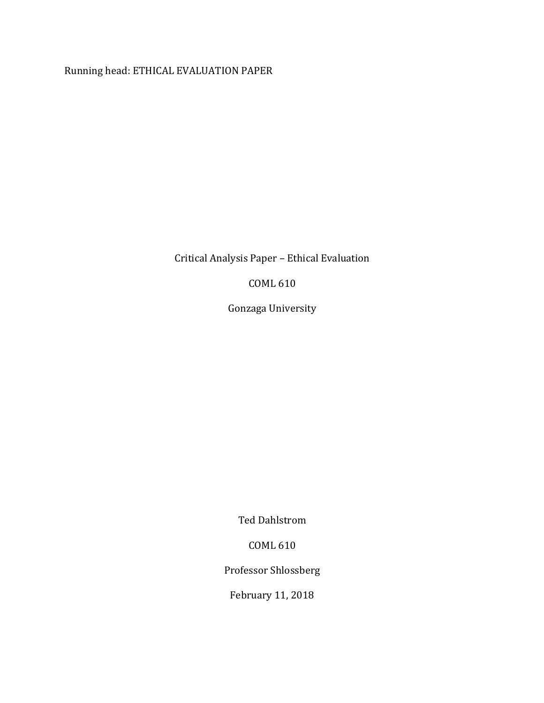Running head: ETHICAL EVALUATION PAPER

Critical Analysis Paper – Ethical Evaluation 

COML 610

Gonzaga University

Ted Dahlstrom

COML 610

Professor Shlossberg

February 11, 2018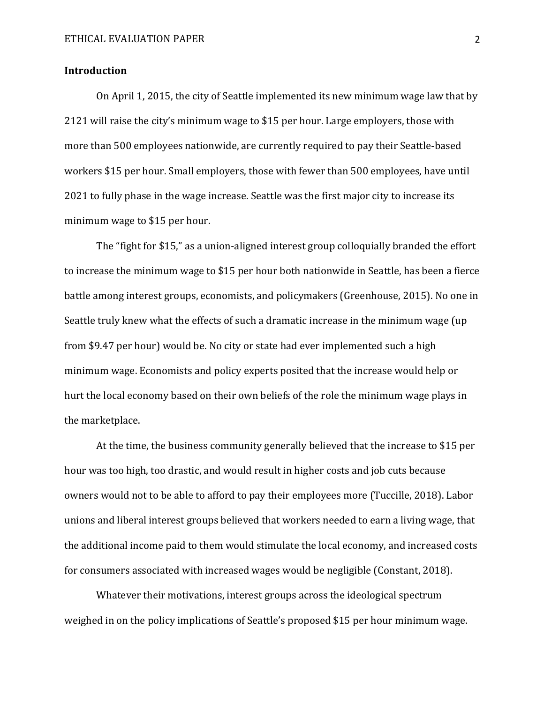### **Introduction**

On April 1, 2015, the city of Seattle implemented its new minimum wage law that by 2121 will raise the city's minimum wage to \$15 per hour. Large employers, those with more than 500 employees nationwide, are currently required to pay their Seattle-based workers \$15 per hour. Small employers, those with fewer than 500 employees, have until 2021 to fully phase in the wage increase. Seattle was the first major city to increase its minimum wage to \$15 per hour.

The "fight for \$15," as a union-aligned interest group colloquially branded the effort to increase the minimum wage to \$15 per hour both nationwide in Seattle, has been a fierce battle among interest groups, economists, and policymakers (Greenhouse, 2015). No one in Seattle truly knew what the effects of such a dramatic increase in the minimum wage (up from \$9.47 per hour) would be. No city or state had ever implemented such a high minimum wage. Economists and policy experts posited that the increase would help or hurt the local economy based on their own beliefs of the role the minimum wage plays in the marketplace.

At the time, the business community generally believed that the increase to \$15 per hour was too high, too drastic, and would result in higher costs and job cuts because owners would not to be able to afford to pay their employees more (Tuccille, 2018). Labor unions and liberal interest groups believed that workers needed to earn a living wage, that the additional income paid to them would stimulate the local economy, and increased costs for consumers associated with increased wages would be negligible (Constant, 2018).

Whatever their motivations, interest groups across the ideological spectrum weighed in on the policy implications of Seattle's proposed \$15 per hour minimum wage.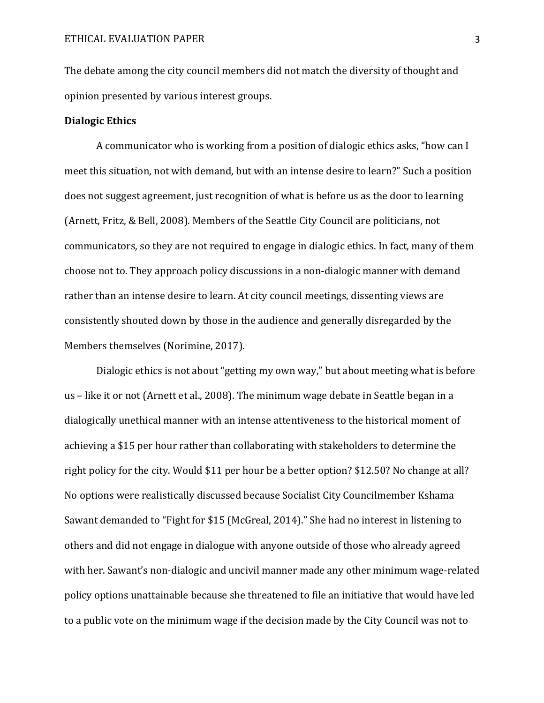The debate among the city council members did not match the diversity of thought and opinion presented by various interest groups.

# **Dialogic Ethics**

A communicator who is working from a position of dialogic ethics asks, "how can I meet this situation, not with demand, but with an intense desire to learn?" Such a position does not suggest agreement, just recognition of what is before us as the door to learning (Arnett, Fritz, & Bell, 2008). Members of the Seattle City Council are politicians, not communicators, so they are not required to engage in dialogic ethics. In fact, many of them choose not to. They approach policy discussions in a non-dialogic manner with demand rather than an intense desire to learn. At city council meetings, dissenting views are consistently shouted down by those in the audience and generally disregarded by the Members themselves (Norimine, 2017).

Dialogic ethics is not about "getting my own way," but about meeting what is before us – like it or not (Arnett et al., 2008). The minimum wage debate in Seattle began in a dialogically unethical manner with an intense attentiveness to the historical moment of achieving a \$15 per hour rather than collaborating with stakeholders to determine the right policy for the city. Would \$11 per hour be a better option? \$12.50? No change at all? No options were realistically discussed because Socialist City Councilmember Kshama Sawant demanded to "Fight for \$15 (McGreal, 2014)." She had no interest in listening to others and did not engage in dialogue with anyone outside of those who already agreed with her. Sawant's non-dialogic and uncivil manner made any other minimum wage-related policy options unattainable because she threatened to file an initiative that would have led to a public vote on the minimum wage if the decision made by the City Council was not to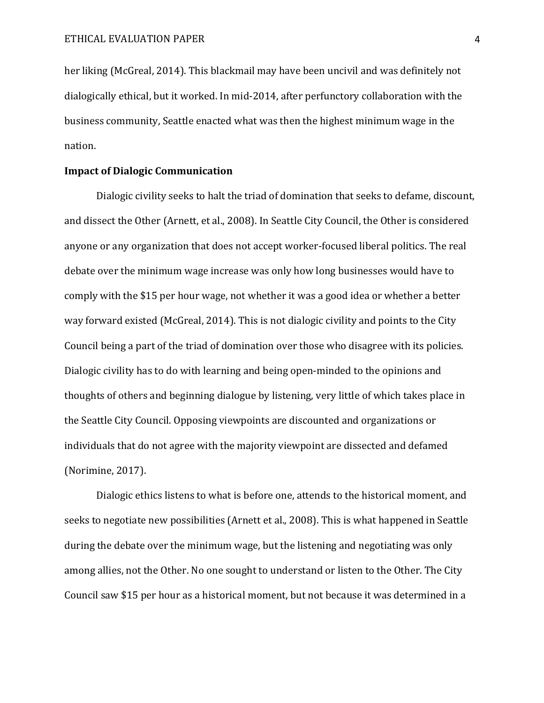her liking (McGreal, 2014). This blackmail may have been uncivil and was definitely not dialogically ethical, but it worked. In mid-2014, after perfunctory collaboration with the business community, Seattle enacted what was then the highest minimum wage in the nation.

# **Impact of Dialogic Communication**

Dialogic civility seeks to halt the triad of domination that seeks to defame, discount, and dissect the Other (Arnett, et al., 2008). In Seattle City Council, the Other is considered anyone or any organization that does not accept worker-focused liberal politics. The real debate over the minimum wage increase was only how long businesses would have to comply with the \$15 per hour wage, not whether it was a good idea or whether a better way forward existed (McGreal, 2014). This is not dialogic civility and points to the City Council being a part of the triad of domination over those who disagree with its policies. Dialogic civility has to do with learning and being open-minded to the opinions and thoughts of others and beginning dialogue by listening, very little of which takes place in the Seattle City Council. Opposing viewpoints are discounted and organizations or individuals that do not agree with the majority viewpoint are dissected and defamed (Norimine, 2017).

Dialogic ethics listens to what is before one, attends to the historical moment, and seeks to negotiate new possibilities (Arnett et al., 2008). This is what happened in Seattle during the debate over the minimum wage, but the listening and negotiating was only among allies, not the Other. No one sought to understand or listen to the Other. The City Council saw \$15 per hour as a historical moment, but not because it was determined in a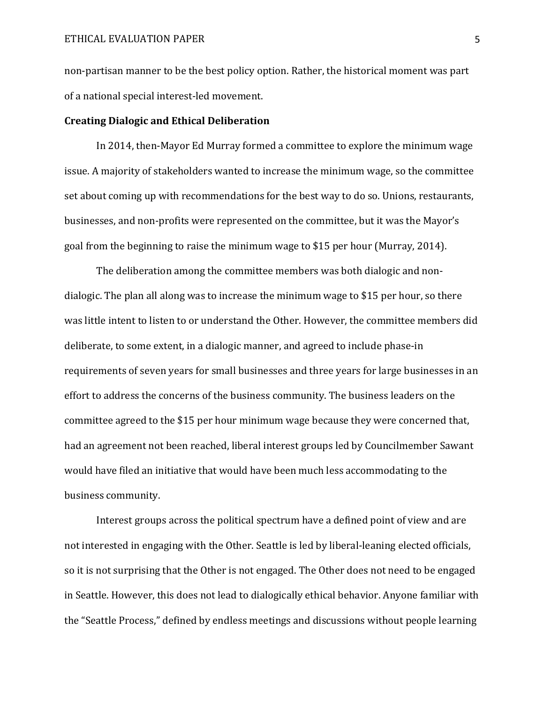non-partisan manner to be the best policy option. Rather, the historical moment was part of a national special interest-led movement.

#### **Creating Dialogic and Ethical Deliberation**

In 2014, then-Mayor Ed Murray formed a committee to explore the minimum wage issue. A majority of stakeholders wanted to increase the minimum wage, so the committee set about coming up with recommendations for the best way to do so. Unions, restaurants, businesses, and non-profits were represented on the committee, but it was the Mayor's goal from the beginning to raise the minimum wage to \$15 per hour (Murray, 2014).

The deliberation among the committee members was both dialogic and nondialogic. The plan all along was to increase the minimum wage to \$15 per hour, so there was little intent to listen to or understand the Other. However, the committee members did deliberate, to some extent, in a dialogic manner, and agreed to include phase-in requirements of seven years for small businesses and three years for large businesses in an effort to address the concerns of the business community. The business leaders on the committee agreed to the \$15 per hour minimum wage because they were concerned that, had an agreement not been reached, liberal interest groups led by Councilmember Sawant would have filed an initiative that would have been much less accommodating to the business community.

Interest groups across the political spectrum have a defined point of view and are not interested in engaging with the Other. Seattle is led by liberal-leaning elected officials, so it is not surprising that the Other is not engaged. The Other does not need to be engaged in Seattle. However, this does not lead to dialogically ethical behavior. Anyone familiar with the "Seattle Process," defined by endless meetings and discussions without people learning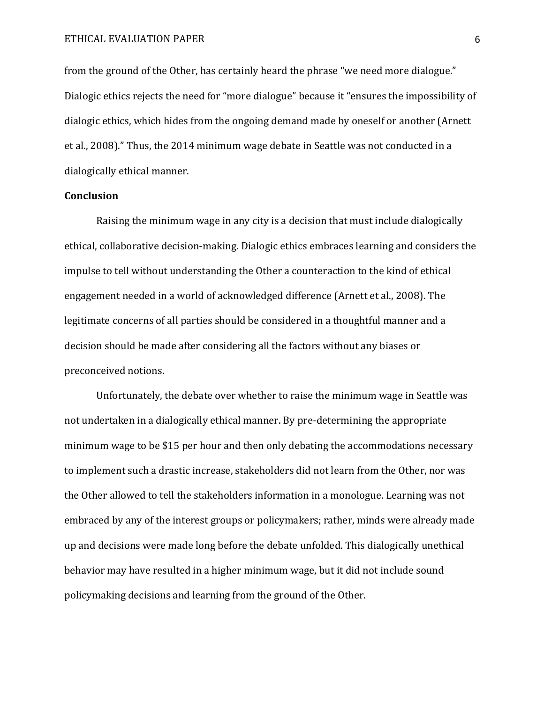## ETHICAL EVALUATION PAPER 6

from the ground of the Other, has certainly heard the phrase "we need more dialogue." Dialogic ethics rejects the need for "more dialogue" because it "ensures the impossibility of dialogic ethics, which hides from the ongoing demand made by oneself or another (Arnett et al., 2008)." Thus, the 2014 minimum wage debate in Seattle was not conducted in a dialogically ethical manner.

# **Conclusion**

Raising the minimum wage in any city is a decision that must include dialogically ethical, collaborative decision-making. Dialogic ethics embraces learning and considers the impulse to tell without understanding the Other a counteraction to the kind of ethical engagement needed in a world of acknowledged difference (Arnett et al., 2008). The legitimate concerns of all parties should be considered in a thoughtful manner and a decision should be made after considering all the factors without any biases or preconceived notions.

Unfortunately, the debate over whether to raise the minimum wage in Seattle was not undertaken in a dialogically ethical manner. By pre-determining the appropriate minimum wage to be \$15 per hour and then only debating the accommodations necessary to implement such a drastic increase, stakeholders did not learn from the Other, nor was the Other allowed to tell the stakeholders information in a monologue. Learning was not embraced by any of the interest groups or policymakers; rather, minds were already made up and decisions were made long before the debate unfolded. This dialogically unethical behavior may have resulted in a higher minimum wage, but it did not include sound policymaking decisions and learning from the ground of the Other.